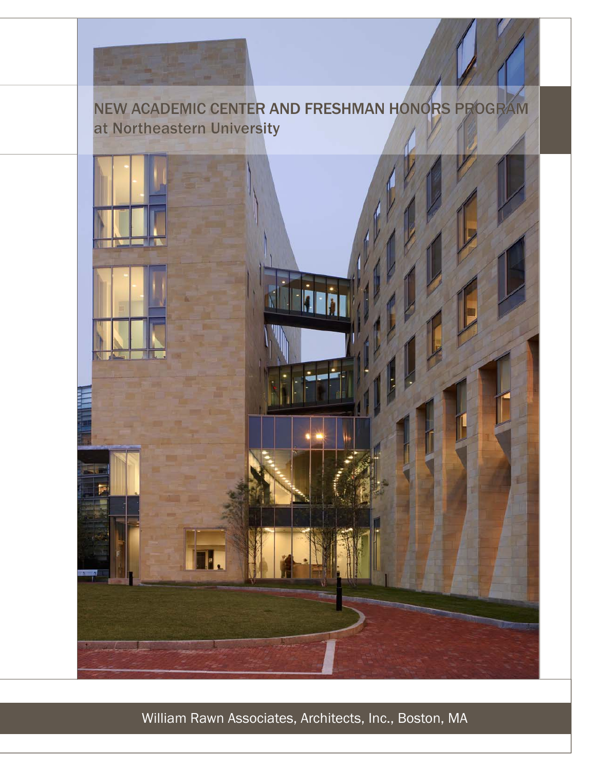

# NEW ACADEMIC CENTER AND FRESHMAN HONORS PROGRAM at Northeastern University



William Rawn Associates, Architects, Inc., Boston, MA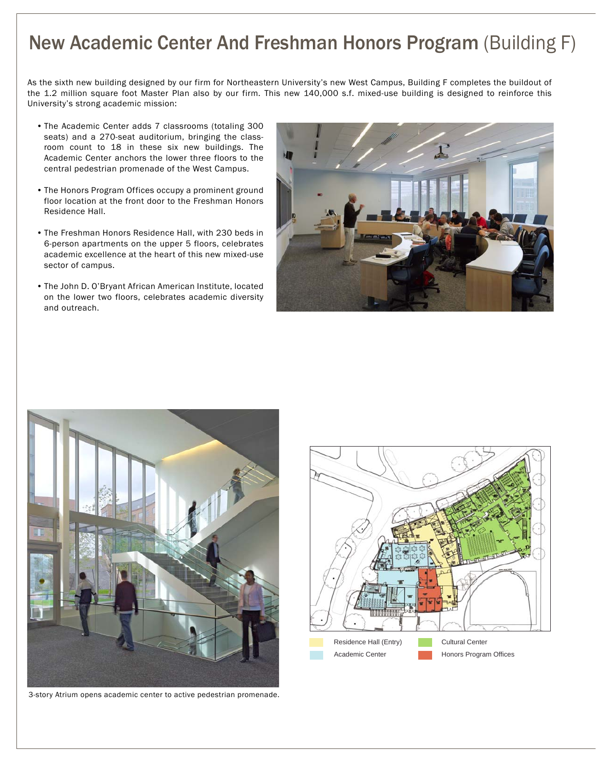# New Academic Center And Freshman Honors Program (Building F)

As the sixth new building designed by our firm for Northeastern University's new West Campus, Building F completes the buildout of the 1.2 million square foot Master Plan also by our firm. This new 140,000 s.f. mixed-use building is designed to reinforce this University's strong academic mission:

- The Academic Center adds 7 classrooms (totaling 300 seats) and a 270-seat auditorium, bringing the classroom count to 18 in these six new buildings. The Academic Center anchors the lower three floors to the central pedestrian promenade of the West Campus.
- The Honors Program Offices occupy a prominent ground floor location at the front door to the Freshman Honors Residence Hall.
- The Freshman Honors Residence Hall, with 230 beds in 6-person apartments on the upper 5 floors, celebrates academic excellence at the heart of this new mixed-use sector of campus.
- The John D. O'Bryant African American Institute, located on the lower two floors, celebrates academic diversity and outreach.





3-story Atrium opens academic center to active pedestrian promenade.

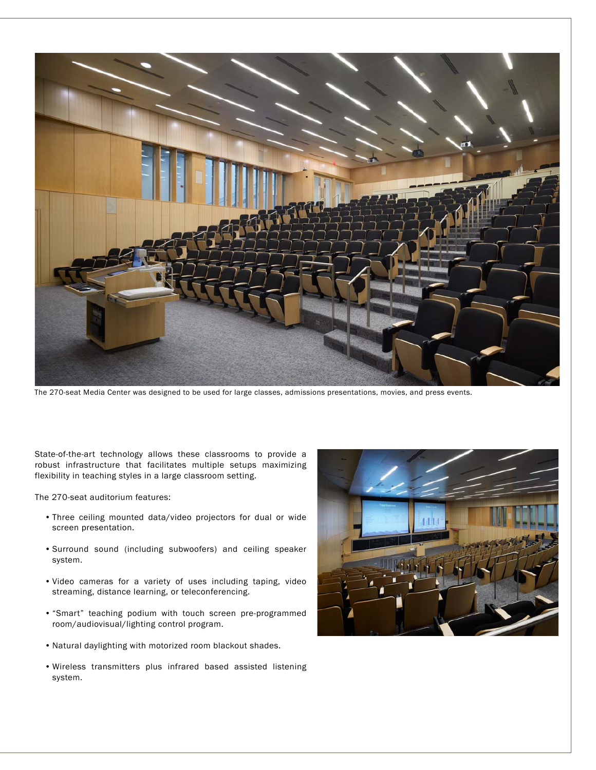

The 270-seat Media Center was designed to be used for large classes, admissions presentations, movies, and press events.

State-of-the-art technology allows these classrooms to provide a robust infrastructure that facilitates multiple setups maximizing flexibility in teaching styles in a large classroom setting.

The 270-seat auditorium features:

- Three ceiling mounted data/video projectors for dual or wide screen presentation.
- Surround sound (including subwoofers) and ceiling speaker system.
- Video cameras for a variety of uses including taping, video streaming, distance learning, or teleconferencing.
- "Smart" teaching podium with touch screen pre-programmed room/audiovisual/lighting control program.
- Natural daylighting with motorized room blackout shades.
- Wireless transmitters plus infrared based assisted listening system.